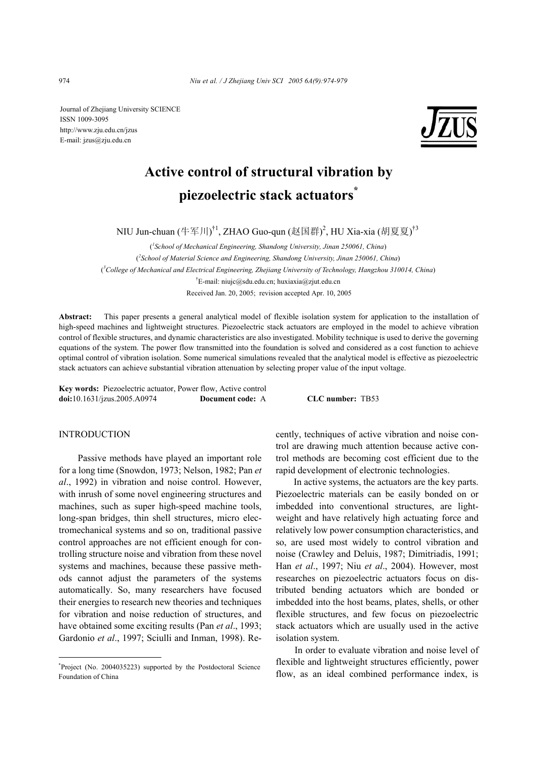Journal of Zhejiang University SCIENCE ISSN 1009-3095 http://www.zju.edu.cn/jzus E-mail: jzus@zju.edu.cn



# **Active control of structural vibration by piezoelectric stack actuators\***

NIU Jun-chuan (牛军川)†1, ZHAO Guo-qun (赵国群)<sup>2</sup>, HU Xia-xia (胡夏夏)†<sup>3</sup>

( *1 School of Mechanical Engineering, Shandong University, Jinan 250061, China*) ( *2 School of Material Science and Engineering, Shandong University, Jinan 250061, China*) ( *3 College of Mechanical and Electrical Engineering, Zhejiang University of Technology, Hangzhou 310014, China*) † E-mail: niujc@sdu.edu.cn; huxiaxia@zjut.edu.cn Received Jan. 20, 2005; revision accepted Apr. 10, 2005

**Abstract:** This paper presents a general analytical model of flexible isolation system for application to the installation of high-speed machines and lightweight structures. Piezoelectric stack actuators are employed in the model to achieve vibration control of flexible structures, and dynamic characteristics are also investigated. Mobility technique is used to derive the governing equations of the system. The power flow transmitted into the foundation is solved and considered as a cost function to achieve optimal control of vibration isolation. Some numerical simulations revealed that the analytical model is effective as piezoelectric stack actuators can achieve substantial vibration attenuation by selecting proper value of the input voltage.

**Key words:** Piezoelectric actuator, Power flow, Active control **doi:**10.1631/jzus.2005.A0974 **Document code:** A **CLC number:** TB53

## INTRODUCTION

Passive methods have played an important role for a long time (Snowdon, 1973; Nelson, 1982; Pan *et al*., 1992) in vibration and noise control. However, with inrush of some novel engineering structures and machines, such as super high-speed machine tools, long-span bridges, thin shell structures, micro electromechanical systems and so on, traditional passive control approaches are not efficient enough for controlling structure noise and vibration from these novel systems and machines, because these passive methods cannot adjust the parameters of the systems automatically. So, many researchers have focused their energies to research new theories and techniques for vibration and noise reduction of structures, and have obtained some exciting results (Pan *et al*., 1993; Gardonio *et al*., 1997; Sciulli and Inman, 1998). Recently, techniques of active vibration and noise control are drawing much attention because active control methods are becoming cost efficient due to the rapid development of electronic technologies.

In active systems, the actuators are the key parts. Piezoelectric materials can be easily bonded on or imbedded into conventional structures, are lightweight and have relatively high actuating force and relatively low power consumption characteristics, and so, are used most widely to control vibration and noise (Crawley and Deluis, 1987; Dimitriadis, 1991; Han *et al*., 1997; Niu *et al*., 2004). However, most researches on piezoelectric actuators focus on distributed bending actuators which are bonded or imbedded into the host beams, plates, shells, or other flexible structures, and few focus on piezoelectric stack actuators which are usually used in the active isolation system.

In order to evaluate vibration and noise level of flexible and lightweight structures efficiently, power flow, as an ideal combined performance index, is

<sup>\*</sup> Project (No. 2004035223) supported by the Postdoctoral Science Foundation of China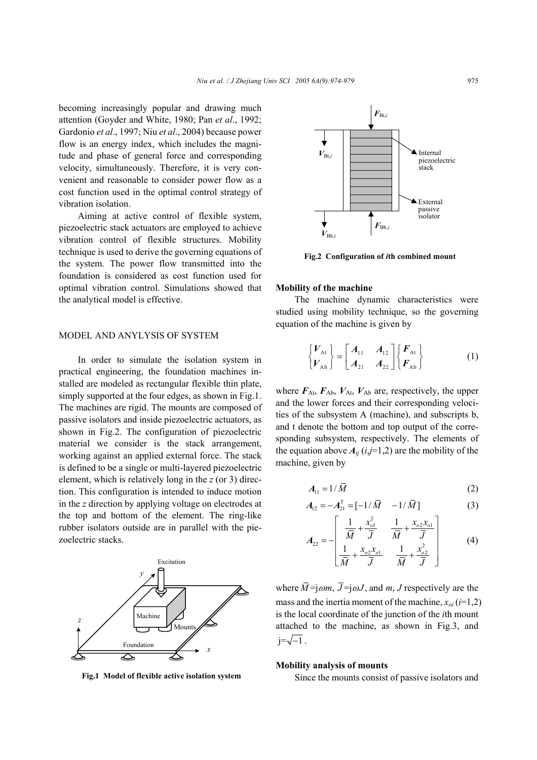becoming increasingly popular and drawing much attention (Goyder and White, 1980; Pan *et al*., 1992; Gardonio *et al*., 1997; Niu *et al*., 2004) because power flow is an energy index, which includes the magnitude and phase of general force and corresponding velocity, simultaneously. Therefore, it is very convenient and reasonable to consider power flow as a cost function used in the optimal control strategy of vibration isolation.

Aiming at active control of flexible system, piezoelectric stack actuators are employed to achieve vibration control of flexible structures. Mobility technique is used to derive the governing equations of the system. The power flow transmitted into the foundation is considered as cost function used for optimal vibration control. Simulations showed that the analytical model is effective.

## MODEL AND ANYLYSIS OF SYSTEM

In order to simulate the isolation system in practical engineering, the foundation machines installed are modeled as rectangular flexible thin plate, simply supported at the four edges, as shown in Fig.1. The machines are rigid. The mounts are composed of passive isolators and inside piezoelectric actuators, as shown in Fig.2. The configuration of piezoelectric material we consider is the stack arrangement, working against an applied external force. The stack is defined to be a single or multi-layered piezoelectric element, which is relatively long in the *z* (or 3) direction. This configuration is intended to induce motion in the *z* direction by applying voltage on electrodes at the top and bottom of the element. The ring-like rubber isolators outside are in parallel with the piezoelectric stacks.





**Fig.2 Configuration of** *i***th combined mount**

#### **Mobility of the machine**

The machine dynamic characteristics were studied using mobility technique, so the governing equation of the machine is given by

$$
\begin{Bmatrix} V_{\mathrm{At}} \\ V_{\mathrm{Ab}} \end{Bmatrix} = \begin{bmatrix} A_{11} & A_{12} \\ A_{21} & A_{22} \end{bmatrix} \begin{Bmatrix} F_{\mathrm{At}} \\ F_{\mathrm{Ab}} \end{Bmatrix}
$$
 (1)

where  $F_{\text{At}}$ ,  $F_{\text{Ab}}$ ,  $V_{\text{At}}$ ,  $V_{\text{Ab}}$  are, respectively, the upper and the lower forces and their corresponding velocities of the subsystem A (machine), and subscripts b, and t denote the bottom and top output of the corresponding subsystem, respectively. The elements of the equation above  $A_{ii}$  ( $i,j=1,2$ ) are the mobility of the machine, given by

$$
A_{11} = 1/\bar{M}
$$
 (2)

$$
A_{12} = -A_{21}^{T} = \left[ -1/\bar{M} \quad -1/\bar{M} \right] \tag{3}
$$

$$
A_{22} = -\begin{bmatrix} \frac{1}{\bar{M}} + \frac{x_{o1}^2}{\bar{J}} & \frac{1}{\bar{M}} + \frac{x_{o2}x_{o1}}{\bar{J}}\\ \frac{1}{\bar{M}} + \frac{x_{o2}x_{o1}}{\bar{J}} & \frac{1}{\bar{M}} + \frac{x_{o2}^2}{\bar{J}} \end{bmatrix}
$$
(4)

where  $\overline{M} = j \omega m$ ,  $\overline{J} = j \omega J$ , and  $m$ , *J* respectively are the mass and the inertia moment of the machine,  $x_{oi}$  ( $i=1,2$ ) is the local coordinate of the junction of the *i*th mount attached to the machine, as shown in Fig.3, and  $i=\sqrt{-1}$ .

### **Mobility analysis of mounts**

Fig.1 Model of flexible active isolation system<br>
Since the mounts consist of passive isolators and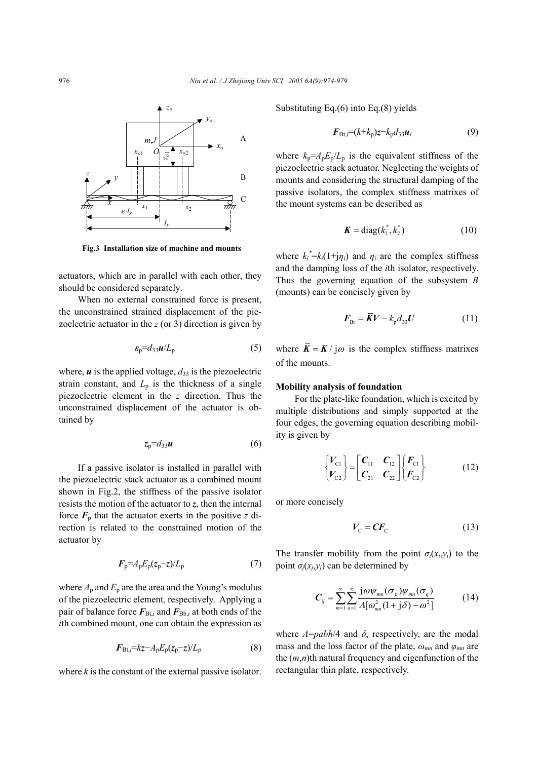

**Fig.3 Installation size of machine and mounts** 

actuators, which are in parallel with each other, they should be considered separately.

When no external constrained force is present, the unconstrained strained displacement of the piezoelectric actuator in the *z* (or 3) direction is given by

$$
\varepsilon_{\rm p} = d_{33} u / L_{\rm p} \tag{5}
$$

where,  $\boldsymbol{u}$  is the applied voltage,  $d_{33}$  is the piezoelectric strain constant, and  $L_p$  is the thickness of a single piezoelectric element in the *z* direction. Thus the unconstrained displacement of the actuator is obtained by

$$
z_{p}=d_{33}u\tag{6}
$$

If a passive isolator is installed in parallel with the piezoelectric stack actuator as a combined mount shown in Fig.2, the stiffness of the passive isolator resists the motion of the actuator to *z*, then the internal force  $F<sub>p</sub>$  that the actuator exerts in the positive *z* direction is related to the constrained motion of the actuator by

$$
F_{\mathbf{p}}=A_{\mathbf{p}}E_{\mathbf{p}}(z_{\mathbf{p}}-z)/L_{\mathbf{p}}\tag{7}
$$

where  $A_p$  and  $E_p$  are the area and the Young's modulus of the piezoelectric element, respectively. Applying a pair of balance force  $F_{Bt,i}$  and  $F_{Bb,i}$  at both ends of the *i*th combined mount, one can obtain the expression as

$$
F_{\mathrm{Bt},i} = kz - A_p E_p(z_p - z) / L_p \tag{8}
$$

where *k* is the constant of the external passive isolator.

Substituting Eq.(6) into Eq.(8) yields

$$
F_{\mathrm{Bt},i} = (k + k_{\mathrm{p}})z - k_{\mathrm{p}}d_{33}\boldsymbol{u}_{i} \tag{9}
$$

where  $k_p = A_p E_p / L_p$  is the equivalent stiffness of the piezoelectric stack actuator. Neglecting the weights of mounts and considering the structural damping of the passive isolators, the complex stiffness matrixes of the mount systems can be described as

$$
\boldsymbol{K} = \text{diag}(k_1^*, k_2^*)
$$
 (10)

where  $k_i^* = k_i(1 + j\eta_i)$  and  $\eta_i$  are the complex stiffness and the damping loss of the *i*th isolator, respectively. Thus the governing equation of the subsystem *B* (mounts) can be concisely given by

$$
\boldsymbol{F}_{\text{Bt}} = \boldsymbol{\overline{K}} \boldsymbol{V} - k_{\text{p}} d_{33} \boldsymbol{U} \tag{11}
$$

where  $\overline{K} = K / j\omega$  is the complex stiffness matrixes of the mounts.

#### **Mobility analysis of foundation**

For the plate-like foundation, which is excited by multiple distributions and simply supported at the four edges, the governing equation describing mobility is given by

$$
\begin{Bmatrix} V_{\text{C1}} \\ V_{\text{C2}} \end{Bmatrix} = \begin{bmatrix} C_{11} & C_{12} \\ C_{21} & C_{22} \end{bmatrix} \begin{Bmatrix} F_{\text{C1}} \\ F_{\text{C2}} \end{Bmatrix}
$$
 (12)

or more concisely

$$
V_{\rm C} = \mathbf{C} \mathbf{F}_{\rm C} \tag{13}
$$

The transfer mobility from the point  $\sigma_i(x_i, y_i)$  to the point  $\sigma_i(x_i, y_j)$  can be determined by

$$
C_{ij} = \sum_{m=1}^{\infty} \sum_{n=1}^{\infty} \frac{j \omega \psi_{mn}(\sigma_p) \psi_{mn}(\sigma_q)}{A[\omega_{mn}^2(1+j\delta) - \omega^2]}
$$
(14)

where  $\Lambda = pabh/4$  and  $\delta$ , respectively, are the modal mass and the loss factor of the plate,  $\omega_{mn}$  and  $\varphi_{mn}$  are the (*m*,*n*)th natural frequency and eigenfunction of the rectangular thin plate, respectively.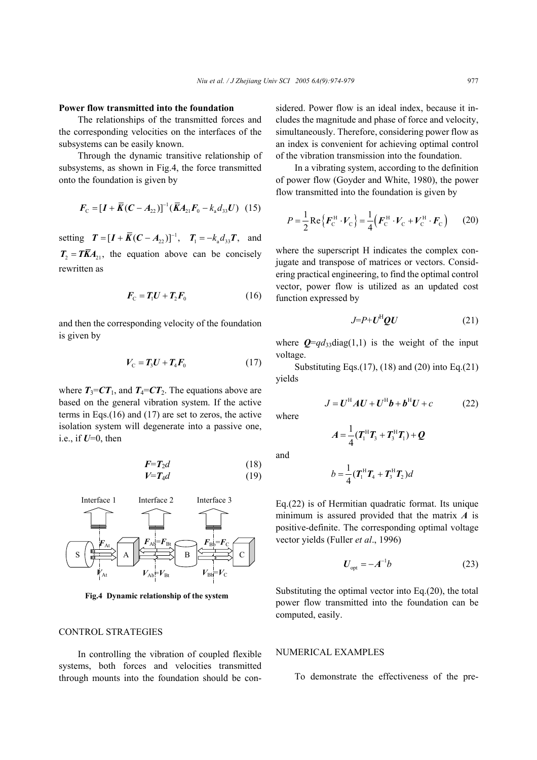#### **Power flow transmitted into the foundation**

The relationships of the transmitted forces and the corresponding velocities on the interfaces of the subsystems can be easily known.

Through the dynamic transitive relationship of subsystems, as shown in Fig.4, the force transmitted onto the foundation is given by

$$
F_{\rm C} = [I + \overline{K}(C - A_{22})]^{-1} (\overline{K}A_{21}F_0 - k_a d_{33}U) \tag{15}
$$

setting  $T = [I + \overline{K}(C - A_{22})]^{-1}$ ,  $T_1 = -k_a d_{33} T$ , and  $T_2 = T\overline{K}A_{21}$ , the equation above can be concisely rewritten as

$$
F_{\rm C} = T_1 U + T_2 F_0 \tag{16}
$$

and then the corresponding velocity of the foundation is given by

$$
V_{\rm C} = T_3 U + T_4 F_0 \tag{17}
$$

where  $T_3 = CT_1$ , and  $T_4 = CT_2$ . The equations above are based on the general vibration system. If the active terms in Eqs.(16) and (17) are set to zeros, the active isolation system will degenerate into a passive one, i.e., if  $U=0$ , then

$$
F = T_2 d \tag{18}
$$
  

$$
V = T_4 d \tag{19}
$$



**Fig.4 Dynamic relationship of the system** 

# CONTROL STRATEGIES

In controlling the vibration of coupled flexible systems, both forces and velocities transmitted through mounts into the foundation should be considered. Power flow is an ideal index, because it includes the magnitude and phase of force and velocity, simultaneously. Therefore, considering power flow as an index is convenient for achieving optimal control of the vibration transmission into the foundation.

In a vibrating system, according to the definition of power flow (Goyder and White, 1980), the power flow transmitted into the foundation is given by

$$
P = \frac{1}{2} \text{Re} \{ \bm{F}_{\text{C}}^{\text{H}} \cdot \bm{V}_{\text{C}} \} = \frac{1}{4} \big( \bm{F}_{\text{C}}^{\text{H}} \cdot \bm{V}_{\text{C}} + \bm{V}_{\text{C}}^{\text{H}} \cdot \bm{F}_{\text{C}} \big) \qquad (20)
$$

where the superscript H indicates the complex conjugate and transpose of matrices or vectors. Considering practical engineering, to find the optimal control vector, power flow is utilized as an updated cost function expressed by

$$
J = P + U^{\rm H} Q U \tag{21}
$$

where  $Q = qd_3$ 3diag(1,1) is the weight of the input voltage.

Substituting Eqs. $(17)$ ,  $(18)$  and  $(20)$  into Eq. $(21)$ yields

$$
J = U^{\mathrm{H}} A U + U^{\mathrm{H}} b + b^{\mathrm{H}} U + c \qquad (22)
$$

where

and

$$
A = \frac{1}{4} (T_1^{\rm H} T_3 + T_3^{\rm H} T_1) + Q
$$

$$
b = \frac{1}{4} (T_1^{\rm H} T_4 + T_3^{\rm H} T_2) d
$$

Eq.(22) is of Hermitian quadratic format. Its unique minimum is assured provided that the matrix *A* is positive-definite. The corresponding optimal voltage vector yields (Fuller *et al*., 1996)

$$
U_{\text{opt}} = -A^{-1}b \tag{23}
$$

Substituting the optimal vector into Eq.(20), the total power flow transmitted into the foundation can be computed, easily.

# NUMERICAL EXAMPLES

To demonstrate the effectiveness of the pre-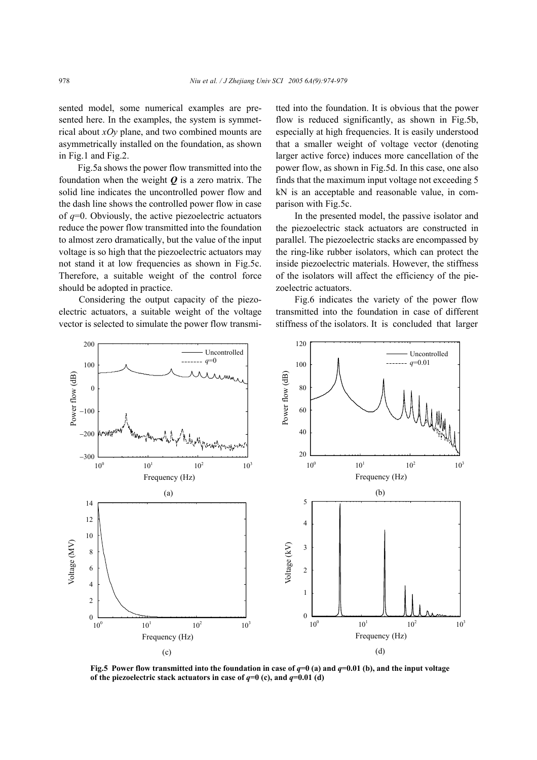sented model, some numerical examples are presented here. In the examples, the system is symmetrical about *xOy* plane, and two combined mounts are asymmetrically installed on the foundation, as shown in Fig.1 and Fig.2.

Fig.5a shows the power flow transmitted into the foundation when the weight *Q* is a zero matrix. The solid line indicates the uncontrolled power flow and the dash line shows the controlled power flow in case of *q*=0. Obviously, the active piezoelectric actuators reduce the power flow transmitted into the foundation to almost zero dramatically, but the value of the input voltage is so high that the piezoelectric actuators may not stand it at low frequencies as shown in Fig.5c. Therefore, a suitable weight of the control force should be adopted in practice.

Considering the output capacity of the piezoelectric actuators, a suitable weight of the voltage vector is selected to simulate the power flow transmitted into the foundation. It is obvious that the power flow is reduced significantly, as shown in Fig.5b, especially at high frequencies. It is easily understood that a smaller weight of voltage vector (denoting larger active force) induces more cancellation of the power flow, as shown in Fig.5d. In this case, one also finds that the maximum input voltage not exceeding 5 kN is an acceptable and reasonable value, in comparison with Fig.5c.

In the presented model, the passive isolator and the piezoelectric stack actuators are constructed in parallel. The piezoelectric stacks are encompassed by the ring-like rubber isolators, which can protect the inside piezoelectric materials. However, the stiffness of the isolators will affect the efficiency of the piezoelectric actuators.

Fig.6 indicates the variety of the power flow transmitted into the foundation in case of different stiffness of the isolators. It is concluded that larger



**Fig.5** Power flow transmitted into the foundation in case of  $q=0$  (a) and  $q=0.01$  (b), and the input voltage of the piezoelectric stack actuators in case of  $q=0$  (c), and  $q=0.01$  (d)